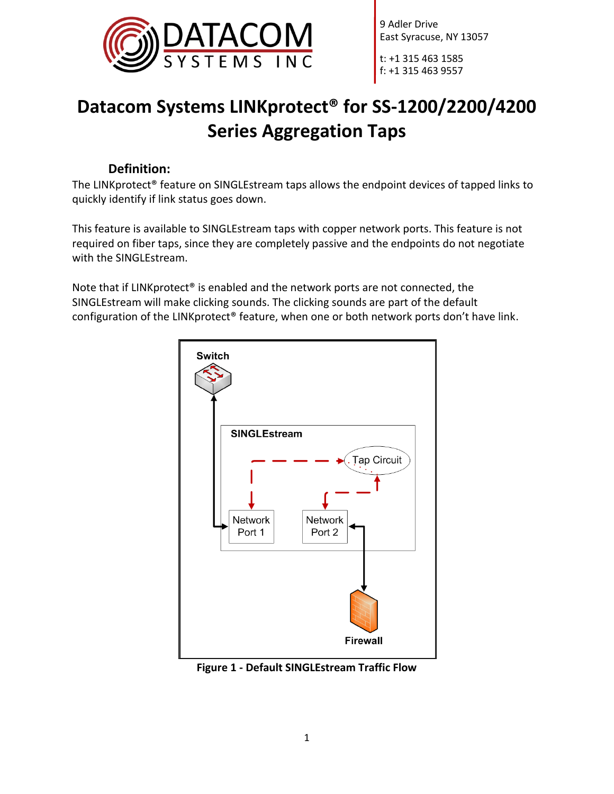

t: +1 315 463 1585 f: +1 315 463 9557

# **Datacom Systems LINKprotect® for SS-1200/2200/4200 Series Aggregation Taps**

### **Definition:**

The LINKprotect® feature on SINGLEstream taps allows the endpoint devices of tapped links to quickly identify if link status goes down.

This feature is available to SINGLEstream taps with copper network ports. This feature is not required on fiber taps, since they are completely passive and the endpoints do not negotiate with the SINGLEstream.

Note that if LINKprotect® is enabled and the network ports are not connected, the SINGLEstream will make clicking sounds. The clicking sounds are part of the default configuration of the LINKprotect® feature, when one or both network ports don't have link.



**Figure 1 - Default SINGLEstream Traffic Flow**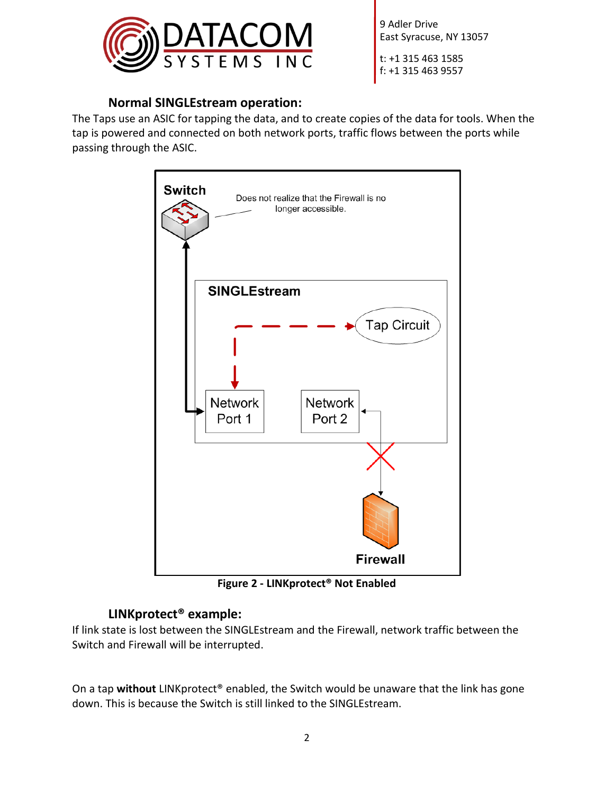

t: +1 315 463 1585 f: +1 315 463 9557

### **Normal SINGLEstream operation:**

The Taps use an ASIC for tapping the data, and to create copies of the data for tools. When the tap is powered and connected on both network ports, traffic flows between the ports while passing through the ASIC.



**Figure 2 - LINKprotect® Not Enabled**

# **LINKprotect® example:**

If link state is lost between the SINGLEstream and the Firewall, network traffic between the Switch and Firewall will be interrupted.

On a tap **without** LINKprotect® enabled, the Switch would be unaware that the link has gone down. This is because the Switch is still linked to the SINGLEstream.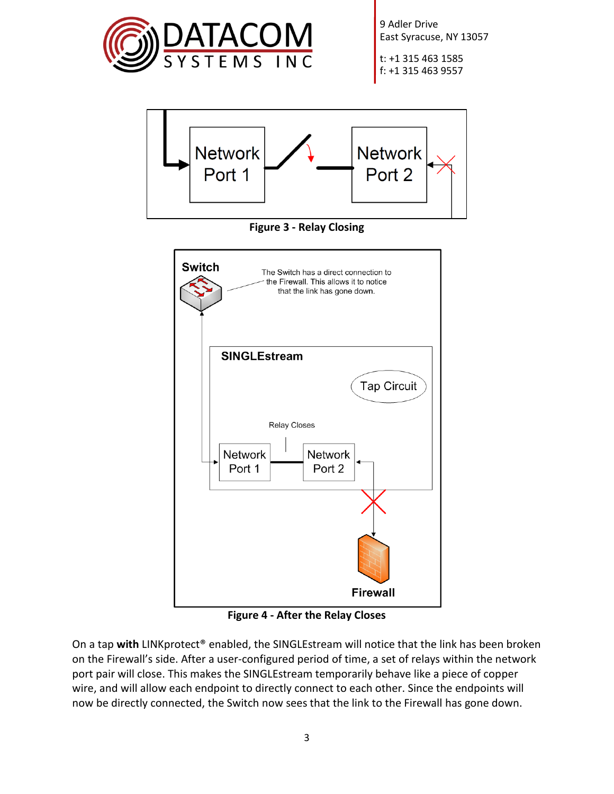

t: +1 315 463 1585 f: +1 315 463 9557



**Figure 4 - After the Relay Closes**

**Firewall** 

On a tap **with** LINKprotect® enabled, the SINGLEstream will notice that the link has been broken on the Firewall's side. After a user-configured period of time, a set of relays within the network port pair will close. This makes the SINGLEstream temporarily behave like a piece of copper wire, and will allow each endpoint to directly connect to each other. Since the endpoints will now be directly connected, the Switch now sees that the link to the Firewall has gone down.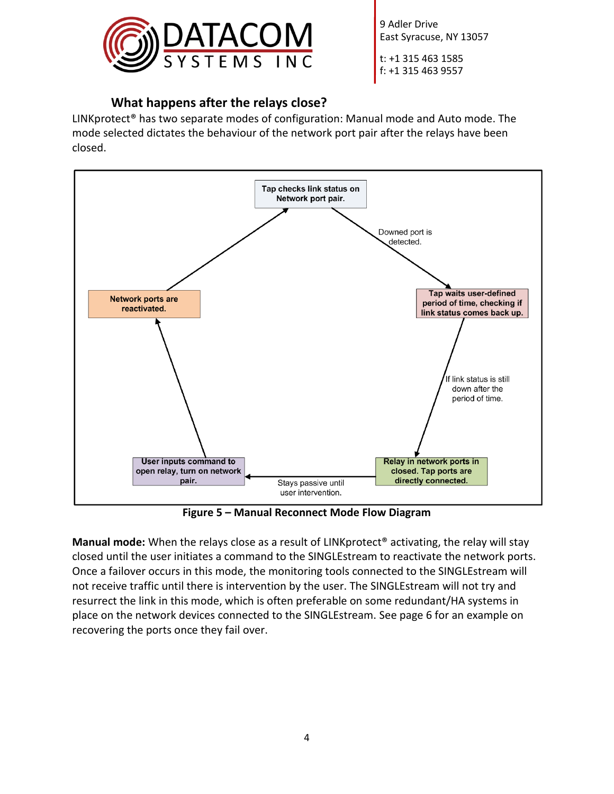

t: +1 315 463 1585 f: +1 315 463 9557

## **What happens after the relays close?**

LINKprotect® has two separate modes of configuration: Manual mode and Auto mode. The mode selected dictates the behaviour of the network port pair after the relays have been closed.



**Figure 5 – Manual Reconnect Mode Flow Diagram**

**Manual mode:** When the relays close as a result of LINKprotect® activating, the relay will stay closed until the user initiates a command to the SINGLEstream to reactivate the network ports. Once a failover occurs in this mode, the monitoring tools connected to the SINGLEstream will not receive traffic until there is intervention by the user. The SINGLEstream will not try and resurrect the link in this mode, which is often preferable on some redundant/HA systems in place on the network devices connected to the SINGLEstream. See page 6 for an example on recovering the ports once they fail over.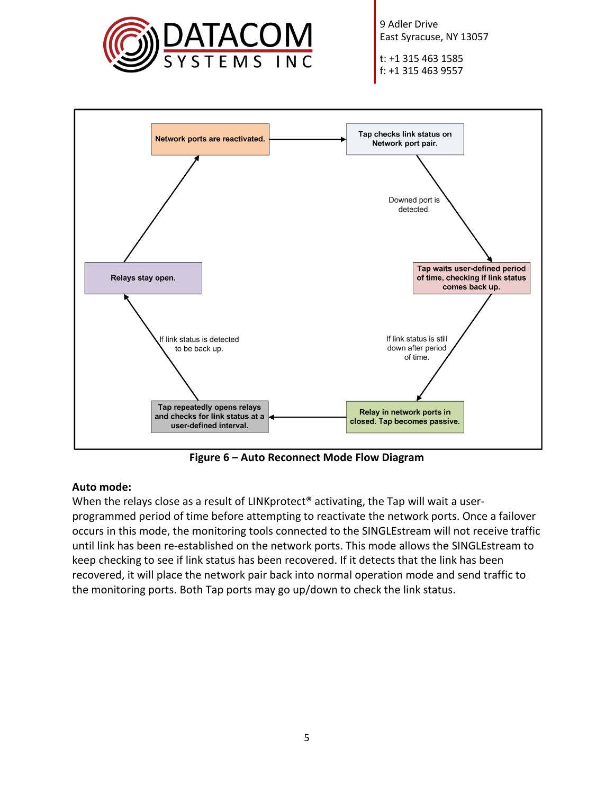

t: +1 315 463 1585 f: +1 315 463 9557



**Figure 6 – Auto Reconnect Mode Flow Diagram**

#### **Auto mode:**

When the relays close as a result of LINKprotect<sup>®</sup> activating, the Tap will wait a userprogrammed period of time before attempting to reactivate the network ports. Once a failover occurs in this mode, the monitoring tools connected to the SINGLEstream will not receive traffic until link has been re-established on the network ports. This mode allows the SINGLEstream to keep checking to see if link status has been recovered. If it detects that the link has been recovered, it will place the network pair back into normal operation mode and send traffic to the monitoring ports. Both Tap ports may go up/down to check the link status.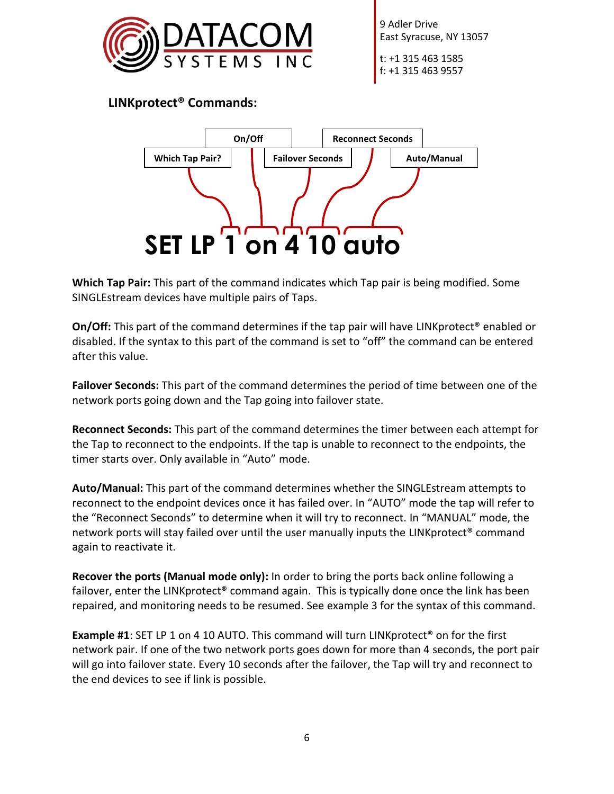

t: +1 315 463 1585 f: +1 315 463 9557

**LINKprotect® Commands:**



**Which Tap Pair:** This part of the command indicates which Tap pair is being modified. Some SINGLEstream devices have multiple pairs of Taps.

**On/Off:** This part of the command determines if the tap pair will have LINKprotect<sup>®</sup> enabled or disabled. If the syntax to this part of the command is set to "off" the command can be entered after this value.

**Failover Seconds:** This part of the command determines the period of time between one of the network ports going down and the Tap going into failover state.

**Reconnect Seconds:** This part of the command determines the timer between each attempt for the Tap to reconnect to the endpoints. If the tap is unable to reconnect to the endpoints, the timer starts over. Only available in "Auto" mode.

**Auto/Manual:** This part of the command determines whether the SINGLEstream attempts to reconnect to the endpoint devices once it has failed over. In "AUTO" mode the tap will refer to the "Reconnect Seconds" to determine when it will try to reconnect. In "MANUAL" mode, the network ports will stay failed over until the user manually inputs the LINKprotect® command again to reactivate it.

**Recover the ports (Manual mode only):** In order to bring the ports back online following a failover, enter the LINKprotect<sup>®</sup> command again. This is typically done once the link has been repaired, and monitoring needs to be resumed. See example 3 for the syntax of this command.

**Example #1:** SET LP 1 on 4 10 AUTO. This command will turn LINKprotect<sup>®</sup> on for the first network pair. If one of the two network ports goes down for more than 4 seconds, the port pair will go into failover state. Every 10 seconds after the failover, the Tap will try and reconnect to the end devices to see if link is possible.